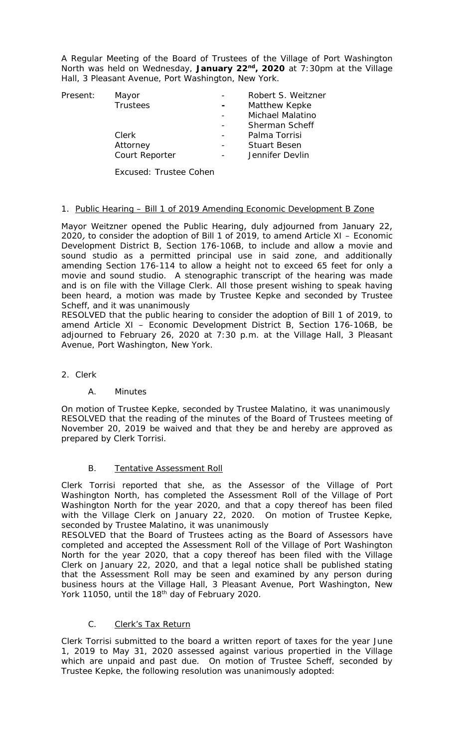A Regular Meeting of the Board of Trustees of the Village of Port Washington North was held on Wednesday, **January 22nd, 2020** at 7:30pm at the Village Hall, 3 Pleasant Avenue, Port Washington, New York.

| Present: | Mayor           |        | Robert S. Weitzner  |
|----------|-----------------|--------|---------------------|
|          | <b>Trustees</b> | $\sim$ | Matthew Kepke       |
|          |                 |        | Michael Malatino    |
|          |                 |        | Sherman Scheff      |
|          | Clerk           |        | Palma Torrisi       |
|          | Attorney        |        | <b>Stuart Besen</b> |
|          | Court Reporter  |        | Jennifer Devlin     |
|          |                 |        |                     |

Excused: Trustee Cohen

# 1. Public Hearing – Bill 1 of 2019 Amending Economic Development B Zone

Mayor Weitzner opened the Public Hearing, duly adjourned from January 22, 2020, to consider the adoption of Bill 1 of 2019, to amend Article XI – Economic Development District B, Section 176-106B, to include and allow a movie and sound studio as a permitted principal use in said zone, and additionally amending Section 176-114 to allow a height not to exceed 65 feet for only a movie and sound studio. A stenographic transcript of the hearing was made and is on file with the Village Clerk. All those present wishing to speak having been heard, a motion was made by Trustee Kepke and seconded by Trustee Scheff, and it was unanimously

RESOLVED that the public hearing to consider the adoption of Bill 1 of 2019, to amend Article XI – Economic Development District B, Section 176-106B, be adjourned to February 26, 2020 at 7:30 p.m. at the Village Hall, 3 Pleasant Avenue, Port Washington, New York.

2. Clerk

# A. Minutes

On motion of Trustee Kepke, seconded by Trustee Malatino, it was unanimously RESOLVED that the reading of the minutes of the Board of Trustees meeting of November 20, 2019 be waived and that they be and hereby are approved as prepared by Clerk Torrisi.

# B. Tentative Assessment Roll

Clerk Torrisi reported that she, as the Assessor of the Village of Port Washington North, has completed the Assessment Roll of the Village of Port Washington North for the year 2020, and that a copy thereof has been filed with the Village Clerk on January 22, 2020. On motion of Trustee Kepke, seconded by Trustee Malatino, it was unanimously

RESOLVED that the Board of Trustees acting as the Board of Assessors have completed and accepted the Assessment Roll of the Village of Port Washington North for the year 2020, that a copy thereof has been filed with the Village Clerk on January 22, 2020, and that a legal notice shall be published stating that the Assessment Roll may be seen and examined by any person during business hours at the Village Hall, 3 Pleasant Avenue, Port Washington, New York 11050, until the 18<sup>th</sup> day of February 2020.

# C. Clerk's Tax Return

Clerk Torrisi submitted to the board a written report of taxes for the year June 1, 2019 to May 31, 2020 assessed against various propertied in the Village which are unpaid and past due. On motion of Trustee Scheff, seconded by Trustee Kepke, the following resolution was unanimously adopted: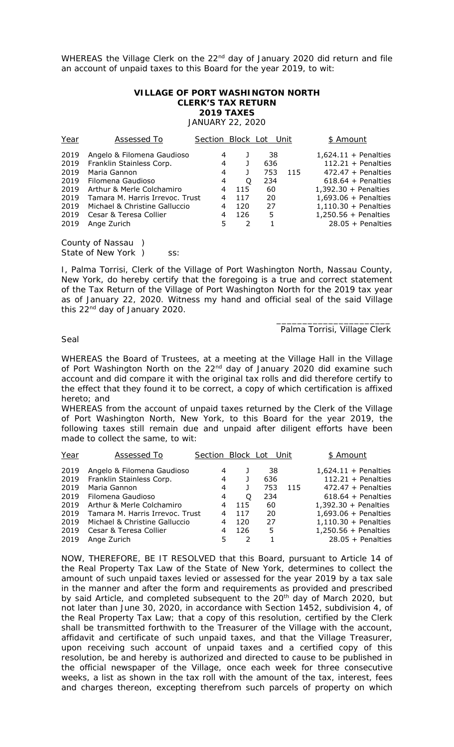WHEREAS the Village Clerk on the 22<sup>nd</sup> day of January 2020 did return and file an account of unpaid taxes to this Board for the year 2019, to wit:

#### **VILLAGE OF PORT WASHINGTON NORTH CLERK'S TAX RETURN 2019 TAXES**

JANUARY 22, 2020

| Year                                                                 | Assessed To                                                                                                                                                                                                                           | Section Block Lot Unit                    |                                    |                                                |     | \$ Amount                                                                                                                                                                                                                     |
|----------------------------------------------------------------------|---------------------------------------------------------------------------------------------------------------------------------------------------------------------------------------------------------------------------------------|-------------------------------------------|------------------------------------|------------------------------------------------|-----|-------------------------------------------------------------------------------------------------------------------------------------------------------------------------------------------------------------------------------|
| 2019<br>2019<br>2019<br>2019<br>2019<br>2019<br>2019<br>2019<br>2019 | Angelo & Filomena Gaudioso<br>Franklin Stainless Corp.<br>Maria Gannon<br>Filomena Gaudioso<br>Arthur & Merle Colchamiro<br>Tamara M. Harris Irrevoc. Trust<br>Michael & Christine Galluccio<br>Cesar & Teresa Collier<br>Ange Zurich | 4<br>4<br>4<br>4<br>4<br>4<br>4<br>4<br>5 | O<br>115<br>117<br>120<br>126<br>2 | 38<br>636<br>753<br>234<br>60<br>20<br>27<br>5 | 115 | $1,624.11 +$ Penalties<br>$112.21 +$ Penalties<br>$472.47 +$ Penalties<br>$618.64 +$ Penalties<br>$1,392.30 +$ Penalties<br>$1,693.06 +$ Penalties<br>$1,110.30 +$ Penalties<br>$1,250.56 +$ Penalties<br>$28.05 +$ Penalties |
|                                                                      |                                                                                                                                                                                                                                       |                                           |                                    |                                                |     |                                                                                                                                                                                                                               |

County of Nassau ) State of New York ) ss:

I, Palma Torrisi, Clerk of the Village of Port Washington North, Nassau County, New York, do hereby certify that the foregoing is a true and correct statement of the Tax Return of the Village of Port Washington North for the 2019 tax year as of January 22, 2020. Witness my hand and official seal of the said Village this 22<sup>nd</sup> day of January 2020.

#### \_\_\_\_\_\_\_\_\_\_\_\_\_\_\_\_\_\_\_\_\_\_ Palma Torrisi, Village Clerk

#### Seal

WHEREAS the Board of Trustees, at a meeting at the Village Hall in the Village of Port Washington North on the 22<sup>nd</sup> day of January 2020 did examine such account and did compare it with the original tax rolls and did therefore certify to the effect that they found it to be correct, a copy of which certification is affixed hereto; and

WHEREAS from the account of unpaid taxes returned by the Clerk of the Village of Port Washington North, New York, to this Board for the year 2019, the following taxes still remain due and unpaid after diligent efforts have been made to collect the same, to wit:

| Year | Assessed To                     | Section Block Lot |     |     | Unit | \$ Amount              |
|------|---------------------------------|-------------------|-----|-----|------|------------------------|
| 2019 | Angelo & Filomena Gaudioso      | 4                 |     | 38  |      | $1,624.11 +$ Penalties |
| 2019 | Franklin Stainless Corp.        | 4                 |     | 636 |      | $112.21 +$ Penalties   |
| 2019 | Maria Gannon                    | 4                 |     | 753 | 115  | $472.47 +$ Penalties   |
| 2019 | Filomena Gaudioso               | 4                 | O   | 234 |      | $618.64 +$ Penalties   |
| 2019 | Arthur & Merle Colchamiro       | 4                 | 115 | 60  |      | $1,392.30 +$ Penalties |
| 2019 | Tamara M. Harris Irrevoc. Trust | 4                 | 117 | 20  |      | $1,693.06 +$ Penalties |
| 2019 | Michael & Christine Galluccio   | 4                 | 120 | 27  |      | $1,110.30 +$ Penalties |
| 2019 | Cesar & Teresa Collier          | 4                 | 126 | 5   |      | $1,250.56 +$ Penalties |
| 2019 | Ange Zurich                     | 5                 | 2   |     |      | $28.05 +$ Penalties    |

NOW, THEREFORE, BE IT RESOLVED that this Board, pursuant to Article 14 of the Real Property Tax Law of the State of New York, determines to collect the amount of such unpaid taxes levied or assessed for the year 2019 by a tax sale in the manner and after the form and requirements as provided and prescribed by said Article, and completed subsequent to the 20<sup>th</sup> day of March 2020, but not later than June 30, 2020, in accordance with Section 1452, subdivision 4, of the Real Property Tax Law; that a copy of this resolution, certified by the Clerk shall be transmitted forthwith to the Treasurer of the Village with the account, affidavit and certificate of such unpaid taxes, and that the Village Treasurer, upon receiving such account of unpaid taxes and a certified copy of this resolution, be and hereby is authorized and directed to cause to be published in the official newspaper of the Village, once each week for three consecutive weeks, a list as shown in the tax roll with the amount of the tax, interest, fees and charges thereon, excepting therefrom such parcels of property on which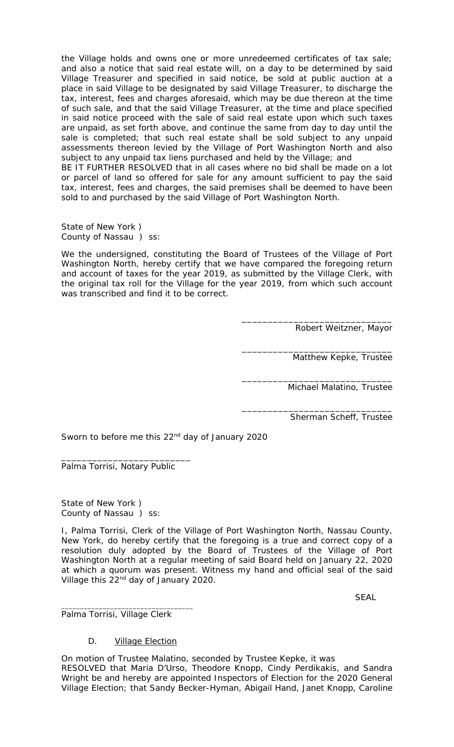the Village holds and owns one or more unredeemed certificates of tax sale; and also a notice that said real estate will, on a day to be determined by said Village Treasurer and specified in said notice, be sold at public auction at a place in said Village to be designated by said Village Treasurer, to discharge the tax, interest, fees and charges aforesaid, which may be due thereon at the time of such sale, and that the said Village Treasurer, at the time and place specified in said notice proceed with the sale of said real estate upon which such taxes are unpaid, as set forth above, and continue the same from day to day until the sale is completed; that such real estate shall be sold subject to any unpaid assessments thereon levied by the Village of Port Washington North and also subject to any unpaid tax liens purchased and held by the Village; and BE IT FURTHER RESOLVED that in all cases where no bid shall be made on a lot or parcel of land so offered for sale for any amount sufficient to pay the said tax, interest, fees and charges, the said premises shall be deemed to have been sold to and purchased by the said Village of Port Washington North.

State of New York ) County of Nassau ) ss:

We the undersigned, constituting the Board of Trustees of the Village of Port Washington North, hereby certify that we have compared the foregoing return and account of taxes for the year 2019, as submitted by the Village Clerk, with the original tax roll for the Village for the year 2019, from which such account was transcribed and find it to be correct.

> \_\_\_\_\_\_\_\_\_\_\_\_\_\_\_\_\_\_\_\_\_\_\_\_\_\_\_\_\_ Robert Weitzner, Mayor

> > Matthew Kepke, Trustee

\_\_\_\_\_\_\_\_\_\_\_\_\_\_\_\_\_\_\_\_\_\_\_\_\_\_\_\_\_

\_\_\_\_\_\_\_\_\_\_\_\_\_\_\_\_\_\_\_\_\_\_\_\_\_\_\_\_\_

\_\_\_\_\_\_\_\_\_\_\_\_\_\_\_\_\_\_\_\_\_\_\_\_\_\_\_\_\_

Michael Malatino, Trustee

Sherman Scheff, Trustee

Sworn to before me this 22<sup>nd</sup> day of January 2020

Palma Torrisi, Notary Public

\_\_\_\_\_\_\_\_\_\_\_\_\_\_\_\_\_\_\_\_\_\_\_\_\_

State of New York ) County of Nassau ) ss:

I, Palma Torrisi, Clerk of the Village of Port Washington North, Nassau County, New York, do hereby certify that the foregoing is a true and correct copy of a resolution duly adopted by the Board of Trustees of the Village of Port Washington North at a regular meeting of said Board held on January 22, 2020 at which a quorum was present. Witness my hand and official seal of the said Village this 22<sup>nd</sup> day of January 2020.

SEAL

Palma Torrisi, Village Clerk

\_\_\_\_\_\_\_\_\_\_\_\_\_\_\_\_\_\_\_\_\_\_\_\_\_\_\_\_\_\_\_\_\_\_\_

# D. Village Election

On motion of Trustee Malatino, seconded by Trustee Kepke, it was RESOLVED that Maria D'Urso, Theodore Knopp, Cindy Perdikakis, and Sandra Wright be and hereby are appointed Inspectors of Election for the 2020 General Village Election; that Sandy Becker-Hyman, Abigail Hand, Janet Knopp, Caroline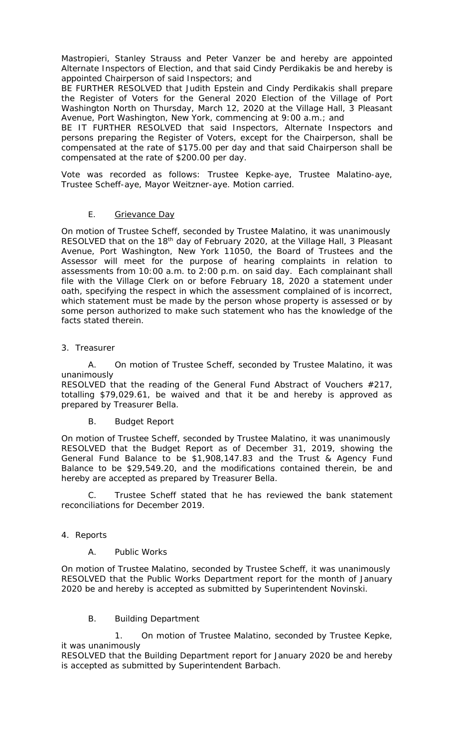Mastropieri, Stanley Strauss and Peter Vanzer be and hereby are appointed Alternate Inspectors of Election, and that said Cindy Perdikakis be and hereby is appointed Chairperson of said Inspectors; and

BE FURTHER RESOLVED that Judith Epstein and Cindy Perdikakis shall prepare the Register of Voters for the General 2020 Election of the Village of Port Washington North on Thursday, March 12, 2020 at the Village Hall, 3 Pleasant Avenue, Port Washington, New York, commencing at 9:00 a.m.; and

BE IT FURTHER RESOLVED that said Inspectors, Alternate Inspectors and persons preparing the Register of Voters, except for the Chairperson, shall be compensated at the rate of \$175.00 per day and that said Chairperson shall be compensated at the rate of \$200.00 per day.

Vote was recorded as follows: Trustee Kepke-aye, Trustee Malatino-aye, Trustee Scheff-aye, Mayor Weitzner-aye. Motion carried.

# E. Grievance Day

On motion of Trustee Scheff, seconded by Trustee Malatino, it was unanimously RESOLVED that on the 18<sup>th</sup> day of February 2020, at the Village Hall, 3 Pleasant Avenue, Port Washington, New York 11050, the Board of Trustees and the Assessor will meet for the purpose of hearing complaints in relation to assessments from 10:00 a.m. to 2:00 p.m. on said day. Each complainant shall file with the Village Clerk on or before February 18, 2020 a statement under oath, specifying the respect in which the assessment complained of is incorrect, which statement must be made by the person whose property is assessed or by some person authorized to make such statement who has the knowledge of the facts stated therein.

# 3. Treasurer

A. On motion of Trustee Scheff, seconded by Trustee Malatino, it was unanimously

RESOLVED that the reading of the General Fund Abstract of Vouchers #217, totalling \$79,029.61, be waived and that it be and hereby is approved as prepared by Treasurer Bella.

B. Budget Report

On motion of Trustee Scheff, seconded by Trustee Malatino, it was unanimously RESOLVED that the Budget Report as of December 31, 2019, showing the General Fund Balance to be \$1,908,147.83 and the Trust & Agency Fund Balance to be \$29,549.20, and the modifications contained therein, be and hereby are accepted as prepared by Treasurer Bella.

Trustee Scheff stated that he has reviewed the bank statement reconciliations for December 2019.

# 4. Reports

# A. Public Works

On motion of Trustee Malatino, seconded by Trustee Scheff, it was unanimously RESOLVED that the Public Works Department report for the month of January 2020 be and hereby is accepted as submitted by Superintendent Novinski.

B. Building Department

1. On motion of Trustee Malatino, seconded by Trustee Kepke, it was unanimously

RESOLVED that the Building Department report for January 2020 be and hereby is accepted as submitted by Superintendent Barbach.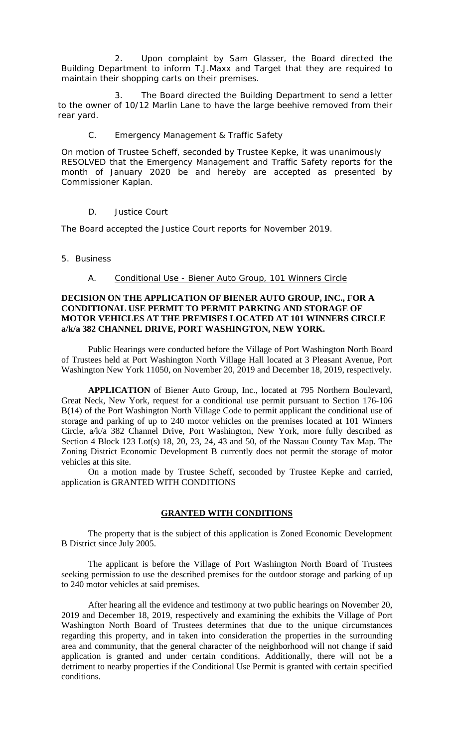2. Upon complaint by Sam Glasser, the Board directed the Building Department to inform T.J.Maxx and Target that they are required to maintain their shopping carts on their premises.

3. The Board directed the Building Department to send a letter to the owner of 10/12 Marlin Lane to have the large beehive removed from their rear yard.

#### C. Emergency Management & Traffic Safety

On motion of Trustee Scheff, seconded by Trustee Kepke, it was unanimously RESOLVED that the Emergency Management and Traffic Safety reports for the month of January 2020 be and hereby are accepted as presented by Commissioner Kaplan.

### D. Justice Court

The Board accepted the Justice Court reports for November 2019.

#### 5. Business

### A. Conditional Use - Biener Auto Group, 101 Winners Circle

### **DECISION ON THE APPLICATION OF BIENER AUTO GROUP, INC., FOR A CONDITIONAL USE PERMIT TO PERMIT PARKING AND STORAGE OF MOTOR VEHICLES AT THE PREMISES LOCATED AT 101 WINNERS CIRCLE a/k/a 382 CHANNEL DRIVE, PORT WASHINGTON, NEW YORK.**

Public Hearings were conducted before the Village of Port Washington North Board of Trustees held at Port Washington North Village Hall located at 3 Pleasant Avenue, Port Washington New York 11050, on November 20, 2019 and December 18, 2019, respectively.

**APPLICATION** of Biener Auto Group, Inc., located at 795 Northern Boulevard, Great Neck, New York, request for a conditional use permit pursuant to Section 176-106 B(14) of the Port Washington North Village Code to permit applicant the conditional use of storage and parking of up to 240 motor vehicles on the premises located at 101 Winners Circle, a/k/a 382 Channel Drive, Port Washington, New York, more fully described as Section 4 Block 123 Lot(s) 18, 20, 23, 24, 43 and 50, of the Nassau County Tax Map. The Zoning District Economic Development B currently does not permit the storage of motor vehicles at this site.

On a motion made by Trustee Scheff, seconded by Trustee Kepke and carried, application is GRANTED WITH CONDITIONS

#### **GRANTED WITH CONDITIONS**

The property that is the subject of this application is Zoned Economic Development B District since July 2005.

The applicant is before the Village of Port Washington North Board of Trustees seeking permission to use the described premises for the outdoor storage and parking of up to 240 motor vehicles at said premises.

After hearing all the evidence and testimony at two public hearings on November 20, 2019 and December 18, 2019, respectively and examining the exhibits the Village of Port Washington North Board of Trustees determines that due to the unique circumstances regarding this property, and in taken into consideration the properties in the surrounding area and community, that the general character of the neighborhood will not change if said application is granted and under certain conditions. Additionally, there will not be a detriment to nearby properties if the Conditional Use Permit is granted with certain specified conditions.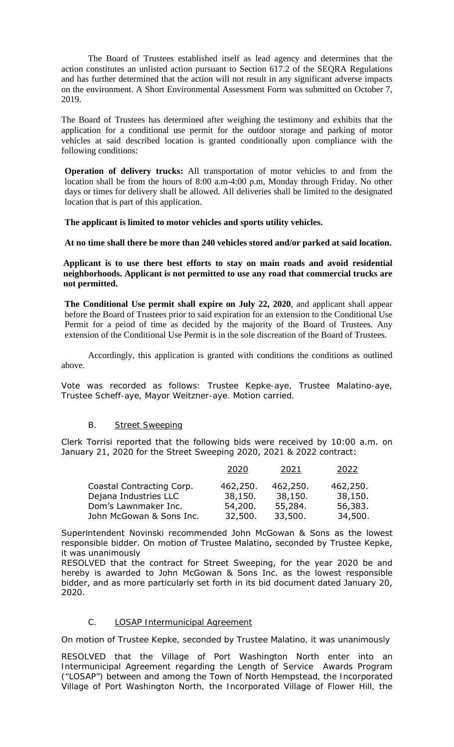The Board of Trustees established itself as lead agency and determines that the action constitutes an unlisted action pursuant to Section 617.2 of the SEQRA Regulations and has further determined that the action will not result in any significant adverse impacts on the environment. A Short Environmental Assessment Form was submitted on October 7, 2019.

The Board of Trustees has determined after weighing the testimony and exhibits that the application for a conditional use permit for the outdoor storage and parking of motor vehicles at said described location is granted conditionally upon compliance with the following conditions:

**Operation of delivery trucks:** All transportation of motor vehicles to and from the location shall be from the hours of 8:00 a.m-4:00 p.m, Monday through Friday. No other days or times for delivery shall be allowed. All deliveries shall be limited to the designated location that is part of this application.

**The applicant is limited to motor vehicles and sports utility vehicles.** 

**At no time shall there be more than 240 vehicles stored and/or parked at said location.** 

**Applicant is to use there best efforts to stay on main roads and avoid residential neighborhoods. Applicant is not permitted to use any road that commercial trucks are not permitted.**

**The Conditional Use permit shall expire on July 22, 2020**, and applicant shall appear before the Board of Trustees prior to said expiration for an extension to the Conditional Use Permit for a peiod of time as decided by the majority of the Board of Trustees. Any extension of the Conditional Use Permit is in the sole discreation of the Board of Trustees.

Accordingly, this application is granted with conditions the conditions as outlined above.

Vote was recorded as follows: Trustee Kepke-aye, Trustee Malatino-aye, Trustee Scheff-aye, Mayor Weitzner-aye. Motion carried.

# B. Street Sweeping

Clerk Torrisi reported that the following bids were received by 10:00 a.m. on January 21, 2020 for the Street Sweeping 2020, 2021 & 2022 contract:

|                           | 2020     | 2021     | 2022     |
|---------------------------|----------|----------|----------|
| Coastal Contracting Corp. | 462,250. | 462,250. | 462,250. |
| Dejana Industries LLC     | 38,150.  | 38,150.  | 38,150.  |
| Dom's Lawnmaker Inc.      | 54,200.  | 55,284.  | 56,383.  |
| John McGowan & Sons Inc.  | 32,500.  | 33,500.  | 34,500.  |

Superintendent Novinski recommended John McGowan & Sons as the lowest responsible bidder. On motion of Trustee Malatino, seconded by Trustee Kepke, it was unanimously

RESOLVED that the contract for Street Sweeping, for the year 2020 be and hereby is awarded to John McGowan & Sons Inc. as the lowest responsible bidder, and as more particularly set forth in its bid document dated January 20, 2020.

# C. LOSAP Intermunicipal Agreement

On motion of Trustee Kepke, seconded by Trustee Malatino, it was unanimously

RESOLVED that the Village of Port Washington North enter into an Intermunicipal Agreement regarding the Length of Service Awards Program ("LOSAP") between and among the Town of North Hempstead, the Incorporated Village of Port Washington North, the Incorporated Village of Flower Hill, the